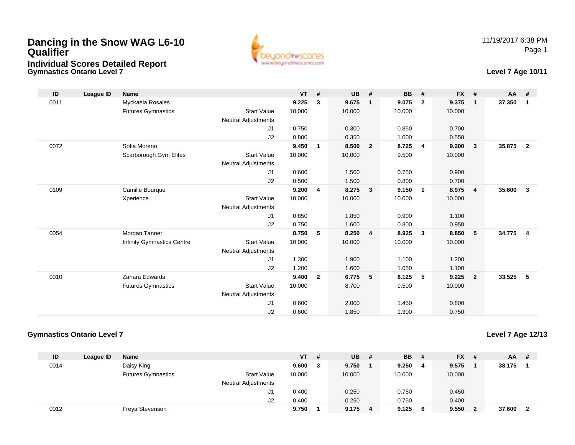## **Dancing in the Snow WAG L6-10 QualifierIndividual Scores Detailed Report**

**Gymnastics Ontario Level 7**



## **Level 7 Age 10/11**

| ID   | League ID | <b>Name</b>                       |                            | <b>VT</b> | #              | <b>UB</b> | #              | <b>BB</b> | #              | <b>FX</b> | #                       | <b>AA</b> | #            |
|------|-----------|-----------------------------------|----------------------------|-----------|----------------|-----------|----------------|-----------|----------------|-----------|-------------------------|-----------|--------------|
| 0011 |           | Myckaela Rosales                  |                            | 9.225     | 3              | 9.675     | $\mathbf{1}$   | 9.075     | $\overline{2}$ | 9.375     | $\overline{1}$          | 37.350    | $\mathbf 1$  |
|      |           | <b>Futures Gymnastics</b>         | <b>Start Value</b>         | 10.000    |                | 10.000    |                | 10.000    |                | 10.000    |                         |           |              |
|      |           |                                   | Neutral Adjustments        |           |                |           |                |           |                |           |                         |           |              |
|      |           |                                   | J <sub>1</sub>             | 0.750     |                | 0.300     |                | 0.850     |                | 0.700     |                         |           |              |
|      |           |                                   | J2                         | 0.800     |                | 0.350     |                | 1.000     |                | 0.550     |                         |           |              |
| 0072 |           | Sofia Moreno                      |                            | 9.450     | 1              | 8.500     | $\overline{2}$ | 8.725     | $\overline{4}$ | 9.200     | $\mathbf{3}$            | 35.875    | $\mathbf{2}$ |
|      |           | Scarborough Gym Elites            | <b>Start Value</b>         | 10.000    |                | 10.000    |                | 9.500     |                | 10.000    |                         |           |              |
|      |           |                                   | Neutral Adjustments        |           |                |           |                |           |                |           |                         |           |              |
|      |           |                                   | J1                         | 0.600     |                | 1.500     |                | 0.750     |                | 0.900     |                         |           |              |
|      |           |                                   | J2                         | 0.500     |                | 1.500     |                | 0.800     |                | 0.700     |                         |           |              |
| 0109 |           | Camille Bourque                   |                            | 9.200     | 4              | 8.275     | $\mathbf{3}$   | 9.150     | $\overline{1}$ | 8.975     | $\overline{4}$          | 35.600    | $\mathbf{3}$ |
|      |           | Xperience                         | <b>Start Value</b>         | 10.000    |                | 10.000    |                | 10.000    |                | 10.000    |                         |           |              |
|      |           |                                   | <b>Neutral Adjustments</b> |           |                |           |                |           |                |           |                         |           |              |
|      |           |                                   | J1                         | 0.850     |                | 1.850     |                | 0.900     |                | 1.100     |                         |           |              |
|      |           |                                   | J2                         | 0.750     |                | 1.600     |                | 0.800     |                | 0.950     |                         |           |              |
| 0054 |           | Morgan Tanner                     |                            | 8.750     | 5              | 8.250     | $\overline{4}$ | 8.925     | $\mathbf{3}$   | 8.850     | 5                       | 34.775    | 4            |
|      |           | <b>Infinity Gymnastics Centre</b> | <b>Start Value</b>         | 10.000    |                | 10.000    |                | 10.000    |                | 10.000    |                         |           |              |
|      |           |                                   | Neutral Adjustments        |           |                |           |                |           |                |           |                         |           |              |
|      |           |                                   | J1                         | 1.300     |                | 1.900     |                | 1.100     |                | 1.200     |                         |           |              |
|      |           |                                   | J2                         | 1.200     |                | 1.600     |                | 1.050     |                | 1.100     |                         |           |              |
| 0010 |           | Zahara Edwards                    |                            | 9.400     | $\overline{2}$ | 6.775     | 5              | 8.125     | 5              | 9.225     | $\overline{\mathbf{2}}$ | 33.525    | 5            |
|      |           | <b>Futures Gymnastics</b>         | <b>Start Value</b>         | 10.000    |                | 8.700     |                | 9.500     |                | 10.000    |                         |           |              |
|      |           |                                   | <b>Neutral Adjustments</b> |           |                |           |                |           |                |           |                         |           |              |
|      |           |                                   | J1                         | 0.600     |                | 2.000     |                | 1.450     |                | 0.800     |                         |           |              |
|      |           |                                   | J2                         | 0.600     |                | 1.850     |                | 1.300     |                | 0.750     |                         |           |              |

## **Gymnastics Ontario Level 7**

## **Level 7 Age 12/13**

| ID   | League ID | <b>Name</b>               |                            | $VT$ # |   | <b>UB</b> | - # | <b>BB</b> | - # | <b>FX</b> | - # | <b>AA</b> | -# |
|------|-----------|---------------------------|----------------------------|--------|---|-----------|-----|-----------|-----|-----------|-----|-----------|----|
| 0014 |           | Daisy King                |                            | 9.600  | 3 | 9.750     |     | 9.250     | -4  | 9.575     |     | 38.175    |    |
|      |           | <b>Futures Gymnastics</b> | <b>Start Value</b>         | 10.000 |   | 10.000    |     | 10.000    |     | 10.000    |     |           |    |
|      |           |                           | <b>Neutral Adjustments</b> |        |   |           |     |           |     |           |     |           |    |
|      |           |                           | J1                         | 0.400  |   | 0.250     |     | 0.750     |     | 0.450     |     |           |    |
|      |           |                           | J2                         | 0.400  |   | 0.250     |     | 0.750     |     | 0.400     |     |           |    |
| 0012 |           | Freya Stevenson           |                            | 9.750  |   | 9.175     | 4   | 9.125     | - 6 | 9.550     |     | 37.600    |    |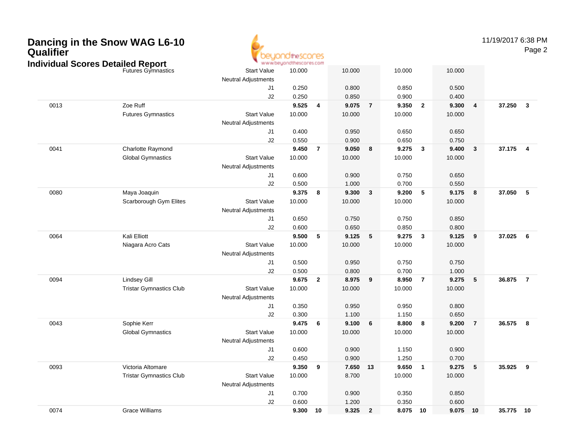| Qualifier | Dancing in the Snow WAG L6-10<br><b>Individual Scores Detailed Report</b> |                                                  | <b>idirescores</b><br>www.beyondthescores.com |                         |          |                |          |                         |           |                | 11/19/2017 6:38 PM | Page 2                  |
|-----------|---------------------------------------------------------------------------|--------------------------------------------------|-----------------------------------------------|-------------------------|----------|----------------|----------|-------------------------|-----------|----------------|--------------------|-------------------------|
|           | <b>Futures Gymnastics</b>                                                 | <b>Start Value</b><br><b>Neutral Adjustments</b> | 10.000                                        |                         | 10.000   |                | 10.000   |                         | 10.000    |                |                    |                         |
|           |                                                                           | J1                                               | 0.250                                         |                         | 0.800    |                | 0.850    |                         | 0.500     |                |                    |                         |
|           |                                                                           | J2                                               | 0.250                                         |                         | 0.850    |                | 0.900    |                         | 0.400     |                |                    |                         |
| 0013      | Zoe Ruff                                                                  |                                                  | 9.525                                         | $\overline{4}$          | 9.075    | $\overline{7}$ | 9.350    | $\overline{\mathbf{2}}$ | 9.300     | 4              | 37.250             | $\mathbf{3}$            |
|           | <b>Futures Gymnastics</b>                                                 | <b>Start Value</b>                               | 10.000                                        |                         | 10.000   |                | 10.000   |                         | 10.000    |                |                    |                         |
|           |                                                                           | <b>Neutral Adjustments</b>                       |                                               |                         |          |                |          |                         |           |                |                    |                         |
|           |                                                                           | J1                                               | 0.400                                         |                         | 0.950    |                | 0.650    |                         | 0.650     |                |                    |                         |
|           |                                                                           | J2                                               | 0.550                                         |                         | 0.900    |                | 0.650    |                         | 0.750     |                |                    |                         |
| 0041      | Charlotte Raymond                                                         |                                                  | 9.450                                         | $\overline{7}$          | 9.050    | 8              | 9.275    | $\overline{\mathbf{3}}$ | 9.400     | $\mathbf{3}$   | 37.175             | $\overline{\mathbf{4}}$ |
|           | <b>Global Gymnastics</b>                                                  | <b>Start Value</b>                               | 10.000                                        |                         | 10.000   |                | 10.000   |                         | 10.000    |                |                    |                         |
|           |                                                                           | <b>Neutral Adjustments</b>                       |                                               |                         |          |                |          |                         |           |                |                    |                         |
|           |                                                                           | J1                                               | 0.600                                         |                         | 0.900    |                | 0.750    |                         | 0.650     |                |                    |                         |
|           |                                                                           | J2                                               | 0.500                                         |                         | 1.000    |                | 0.700    |                         | 0.550     |                |                    |                         |
| 0080      | Maya Joaquin                                                              |                                                  | 9.375                                         | 8                       | 9.300    | $\mathbf{3}$   | 9.200    | - 5                     | 9.175     | 8              | 37.050             | $\sqrt{5}$              |
|           | Scarborough Gym Elites                                                    | <b>Start Value</b>                               | 10.000                                        |                         | 10.000   |                | 10.000   |                         | 10.000    |                |                    |                         |
|           |                                                                           | <b>Neutral Adjustments</b>                       |                                               |                         |          |                |          |                         |           |                |                    |                         |
|           |                                                                           | J1                                               | 0.650                                         |                         | 0.750    |                | 0.750    |                         | 0.850     |                |                    |                         |
|           |                                                                           | J2                                               | 0.600                                         |                         | 0.650    |                | 0.850    |                         | 0.800     |                |                    |                         |
| 0064      | Kali Elliott                                                              |                                                  | 9.500                                         | - 5                     | 9.125    | 5              | 9.275    | $\overline{\mathbf{3}}$ | 9.125     | 9              | 37.025             | 6                       |
|           | Niagara Acro Cats                                                         | <b>Start Value</b>                               | 10.000                                        |                         | 10.000   |                | 10.000   |                         | 10.000    |                |                    |                         |
|           |                                                                           | <b>Neutral Adjustments</b>                       |                                               |                         |          |                |          |                         |           |                |                    |                         |
|           |                                                                           | J1                                               | 0.500                                         |                         | 0.950    |                | 0.750    |                         | 0.750     |                |                    |                         |
|           |                                                                           | J2                                               | 0.500                                         |                         | 0.800    |                | 0.700    |                         | 1.000     |                |                    |                         |
| 0094      | <b>Lindsey Gill</b>                                                       |                                                  | 9.675                                         | $\overline{\mathbf{2}}$ | 8.975    | 9              | 8.950    | $\overline{7}$          | 9.275     | 5              | 36.875             | $\overline{7}$          |
|           | <b>Tristar Gymnastics Club</b>                                            | <b>Start Value</b>                               | 10.000                                        |                         | 10.000   |                | 10.000   |                         | 10.000    |                |                    |                         |
|           |                                                                           | <b>Neutral Adjustments</b>                       |                                               |                         |          |                |          |                         |           |                |                    |                         |
|           |                                                                           | J1                                               | 0.350                                         |                         | 0.950    |                | 0.950    |                         | 0.800     |                |                    |                         |
|           |                                                                           | $\sf J2$                                         | 0.300                                         |                         | 1.100    |                | 1.150    |                         | 0.650     |                |                    |                         |
| 0043      | Sophie Kerr                                                               |                                                  | 9.475                                         | - 6                     | 9.100    | 6              | 8.800    | 8                       | 9.200     | $\overline{7}$ | 36.575             | $\overline{\mathbf{8}}$ |
|           | <b>Global Gymnastics</b>                                                  | <b>Start Value</b>                               | 10.000                                        |                         | 10.000   |                | 10.000   |                         | 10.000    |                |                    |                         |
|           |                                                                           | <b>Neutral Adjustments</b>                       |                                               |                         |          |                |          |                         |           |                |                    |                         |
|           |                                                                           | J1                                               | 0.600                                         |                         | 0.900    |                | 1.150    |                         | 0.900     |                |                    |                         |
|           |                                                                           | J2                                               | 0.450                                         |                         | 0.900    |                | 1.250    |                         | 0.700     |                |                    |                         |
| 0093      | Victoria Altomare                                                         |                                                  | 9.350                                         | $_{9}$                  | 7.650 13 |                | 9.650    | $\blacksquare$          | $9.275$ 5 |                | 35.925             | $\overline{\mathbf{9}}$ |
|           | <b>Tristar Gymnastics Club</b>                                            | <b>Start Value</b>                               | 10.000                                        |                         | 8.700    |                | 10.000   |                         | 10.000    |                |                    |                         |
|           |                                                                           | <b>Neutral Adjustments</b>                       |                                               |                         |          |                |          |                         |           |                |                    |                         |
|           |                                                                           | J1                                               | 0.700                                         |                         | 0.900    |                | 0.350    |                         | 0.850     |                |                    |                         |
|           |                                                                           | $\sf J2$                                         | 0.600                                         |                         | 1.200    |                | 0.350    |                         | 0.600     |                |                    |                         |
| 0074      | <b>Grace Williams</b>                                                     |                                                  | 9.300 10                                      |                         | 9.325 2  |                | 8.075 10 |                         | 9.075 10  |                | 35.775 10          |                         |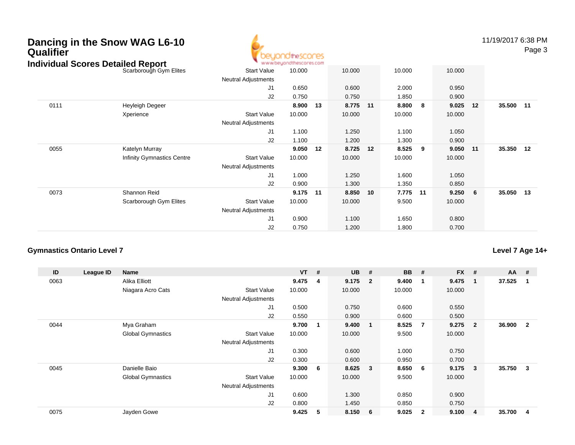## **Dancing in the Snow WAG L6-10Qualifier**



11/19/2017 6:38 PMPage 3

| Individual Scores Detailed Report |                            | ъ.<br>www.beyondthescores.com |        |    |        |    |        |    |        |    |           |  |
|-----------------------------------|----------------------------|-------------------------------|--------|----|--------|----|--------|----|--------|----|-----------|--|
|                                   | Scarborough Gym Elites     | <b>Start Value</b>            | 10.000 |    | 10.000 |    | 10.000 |    | 10.000 |    |           |  |
|                                   |                            | <b>Neutral Adjustments</b>    |        |    |        |    |        |    |        |    |           |  |
|                                   |                            | J1                            | 0.650  |    | 0.600  |    | 2.000  |    | 0.950  |    |           |  |
|                                   |                            | J2                            | 0.750  |    | 0.750  |    | 1.850  |    | 0.900  |    |           |  |
| 0111                              | Heyleigh Degeer            |                               | 8.900  | 13 | 8.775  | 11 | 8.800  | 8  | 9.025  | 12 | 35.500 11 |  |
|                                   | Xperience                  | <b>Start Value</b>            | 10.000 |    | 10.000 |    | 10.000 |    | 10.000 |    |           |  |
|                                   |                            | <b>Neutral Adjustments</b>    |        |    |        |    |        |    |        |    |           |  |
|                                   |                            | J1                            | 1.100  |    | 1.250  |    | 1.100  |    | 1.050  |    |           |  |
|                                   |                            | J2                            | 1.100  |    | 1.200  |    | 1.300  |    | 0.900  |    |           |  |
| 0055                              | Katelyn Murray             |                               | 9.050  | 12 | 8.725  | 12 | 8.525  | 9  | 9.050  | 11 | 35.350 12 |  |
|                                   | Infinity Gymnastics Centre | <b>Start Value</b>            | 10.000 |    | 10.000 |    | 10.000 |    | 10.000 |    |           |  |
|                                   |                            | <b>Neutral Adjustments</b>    |        |    |        |    |        |    |        |    |           |  |
|                                   |                            | J1                            | 1.000  |    | 1.250  |    | 1.600  |    | 1.050  |    |           |  |
|                                   |                            | J2                            | 0.900  |    | 1.300  |    | 1.350  |    | 0.850  |    |           |  |
| 0073                              | Shannon Reid               |                               | 9.175  | 11 | 8.850  | 10 | 7.775  | 11 | 9.250  | 6  | 35.050 13 |  |
|                                   | Scarborough Gym Elites     | <b>Start Value</b>            | 10.000 |    | 10.000 |    | 9.500  |    | 10.000 |    |           |  |
|                                   |                            | <b>Neutral Adjustments</b>    |        |    |        |    |        |    |        |    |           |  |
|                                   |                            | J1                            | 0.900  |    | 1.100  |    | 1.650  |    | 0.800  |    |           |  |
|                                   |                            | J <sub>2</sub>                | 0.750  |    | 1.200  |    | 1.800  |    | 0.700  |    |           |  |

#### **Gymnastics Ontario Level 7**

**ID League ID Name VT # UB # BB # FX # AA #** 0063 Alika Elliott **9.475 <sup>4</sup> 9.175 <sup>2</sup> 9.400 <sup>1</sup> 9.475 <sup>1</sup> 37.525 <sup>1</sup>** Niagara Acro Cats Start Valuee 10.000 10.000 10.000 10.000 Neutral Adjustments J1 0.500 0.750 0.600 0.550 J2 0.550 0.900 0.600 0.500 0044 Mya Graham **9.700 <sup>1</sup> 9.400 <sup>1</sup> 8.525 <sup>7</sup> 9.275 <sup>2</sup> 36.900 <sup>2</sup>** Global Gymnastics Start Valuee 10.000 10.000 9.500 10.000 Neutral Adjustments J1 0.300 0.600 1.000 0.750 J2 0.300 0.600 0.950 0.700 0045 Danielle Baio **9.300 <sup>6</sup> 8.625 <sup>3</sup> 8.650 <sup>6</sup> 9.175 <sup>3</sup> 35.750 <sup>3</sup>** Global Gymnastics Start Valuee 10.000 10.000 9.500 10.000 Neutral Adjustments J1 0.600 1.300 0.850 0.900 J2 0.800 1.450 0.850 0.750 0075Jayden Gowe **9.425 <sup>5</sup> 8.150 <sup>6</sup> 9.025 <sup>2</sup> 9.100 <sup>4</sup> 35.700 <sup>4</sup>**

## **Level 7 Age 14+**